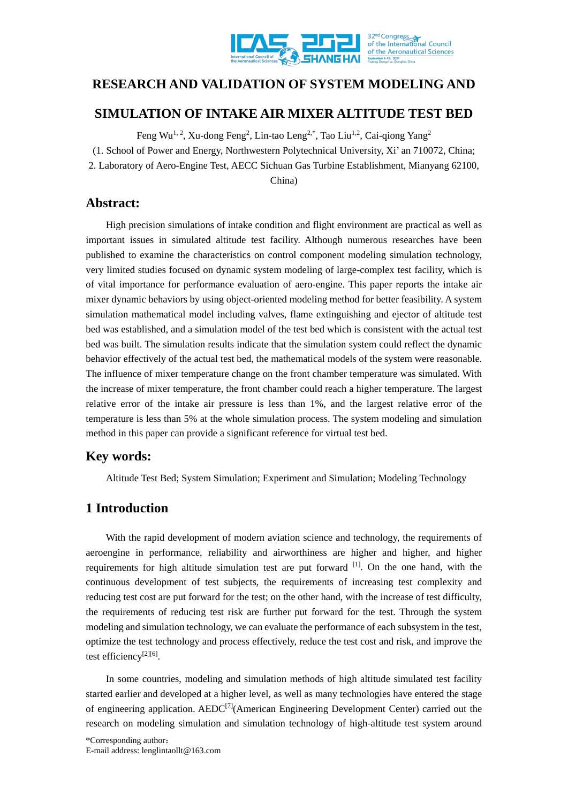

# **RESEARCH AND VALIDATION OF SYSTEM MODELING AND**

# **SIMULATION OF INTAKE AIR MIXER ALTITUDE TEST BED**

Feng Wu<sup>1, 2</sup>, Xu-dong Feng<sup>2</sup>, Lin-tao Leng<sup>2,\*</sup>, Tao Liu<sup>1,2</sup>, Cai-qiong Yang<sup>2</sup> (1. School of Power and Energy, Northwestern Polytechnical University, Xi' an 710072, China; 2. Laboratory of Aero-Engine Test, AECC Sichuan Gas Turbine Establishment, Mianyang 62100, China)

## **Abstract:**

High precision simulations of intake condition and flight environment are practical as well as important issues in simulated altitude test facility. Although numerous researches have been published to examine the characteristics on control component modeling simulation technology, very limited studies focused on dynamic system modeling of large-complex test facility, which is of vital importance for performance evaluation of aero-engine. This paper reports the intake air mixer dynamic behaviors by using object-oriented modeling method for better feasibility. A system simulation mathematical model including valves, flame extinguishing and ejector of altitude test bed was established, and a simulation model of the test bed which is consistent with the actual test bed was built. The simulation results indicate that the simulation system could reflect the dynamic behavior effectively of the actual test bed, the mathematical models of the system were reasonable. The influence of mixer temperature change on the front chamber temperature was simulated. With the increase of mixer temperature, the front chamber could reach a higher temperature. The largest relative error of the intake air pressure is less than 1%, and the largest relative error of the temperature is less than 5% at the whole simulation process. The system modeling and simulation method in this paper can provide a significant reference for virtual test bed.

# **Key words:**

Altitude Test Bed; System Simulation; Experiment and Simulation; Modeling Technology

# **1 Introduction**

With the rapid development of modern aviation science and technology, the requirements of aeroengine in performance, reliability and airworthiness are higher and higher, and higher requirements for high altitude simulation test are put forward <sup>[1]</sup>. On the one hand, with the continuous development of test subjects, the requirements of increasing test complexity and reducing test cost are put forward for the test; on the other hand, with the increase of test difficulty, the requirements of reducing test risk are further put forward for the test. Through the system modeling and simulation technology, we can evaluate the performance of each subsystem in the test, optimize the test technology and process effectively, reduce the test cost and risk, and improve the test efficiency<sup>[2][6]</sup>.

In some countries, modeling and simulation methods of high altitude simulated test facility started earlier and developed at a higher level, as well as many technologies have entered the stage of engineering application. AED[C\[7\]\(](#page-14-2)American Engineering Development Center) carried out the research on modeling simulation and simulation technology of high-altitude test system around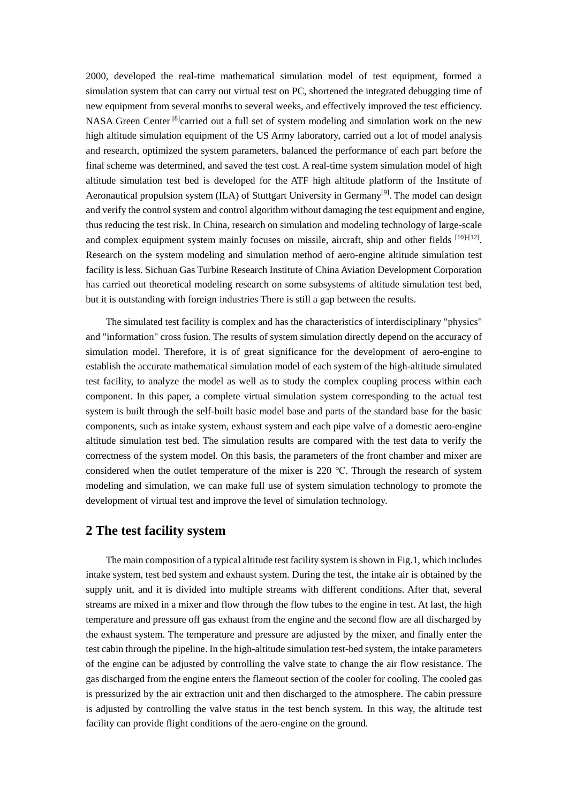2000, developed the real-time mathematical simulation model of test equipment, formed a simulation system that can carry out virtual test on PC, shortened the integrated debugging time of new equipment from several months to several weeks, and effectively improved the test efficiency. NASA Green Center <sup>[8]</sup>carried out a full set of system modeling and simulation work on the new high altitude simulation equipment of the US Army laboratory, carried out a lot of model analysis and research, optimized the system parameters, balanced the performance of each part before the final scheme was determined, and saved the test cost. A real-time system simulation model of high altitude simulation test bed is developed for the ATF high altitude platform of the Institute of Aeronautical propulsion system (ILA) of Stuttgart University in Germany<sup>[9]</sup>. The model can design and verify the control system and control algorithm without damaging the test equipment and engine, thus reducing the test risk. In China, research on simulation and modeling technology of large-scale and complex equipment system mainly focuses on missile, aircraft, ship and other fields [\[10\]-](#page-14-5)[\[12\].](#page-14-6) Research on the system modeling and simulation method of aero-engine altitude simulation test facility is less. Sichuan Gas Turbine Research Institute of China Aviation Development Corporation has carried out theoretical modeling research on some subsystems of altitude simulation test bed, but it is outstanding with foreign industries There is still a gap between the results.

The simulated test facility is complex and has the characteristics of interdisciplinary "physics" and "information" cross fusion. The results of system simulation directly depend on the accuracy of simulation model. Therefore, it is of great significance for the development of aero-engine to establish the accurate mathematical simulation model of each system of the high-altitude simulated test facility, to analyze the model as well as to study the complex coupling process within each component. In this paper, a complete virtual simulation system corresponding to the actual test system is built through the self-built basic model base and parts of the standard base for the basic components, such as intake system, exhaust system and each pipe valve of a domestic aero-engine altitude simulation test bed. The simulation results are compared with the test data to verify the correctness of the system model. On this basis, the parameters of the front chamber and mixer are considered when the outlet temperature of the mixer is 220 ℃. Through the research of system modeling and simulation, we can make full use of system simulation technology to promote the development of virtual test and improve the level of simulation technology.

## **2 The test facility system**

The main composition of a typical altitude test facility system is shown in Fig.1, which includes intake system, test bed system and exhaust system. During the test, the intake air is obtained by the supply unit, and it is divided into multiple streams with different conditions. After that, several streams are mixed in a mixer and flow through the flow tubes to the engine in test. At last, the high temperature and pressure off gas exhaust from the engine and the second flow are all discharged by the exhaust system. The temperature and pressure are adjusted by the mixer, and finally enter the test cabin through the pipeline. In the high-altitude simulation test-bed system, the intake parameters of the engine can be adjusted by controlling the valve state to change the air flow resistance. The gas discharged from the engine enters the flameout section of the cooler for cooling. The cooled gas is pressurized by the air extraction unit and then discharged to the atmosphere. The cabin pressure is adjusted by controlling the valve status in the test bench system. In this way, the altitude test facility can provide flight conditions of the aero-engine on the ground.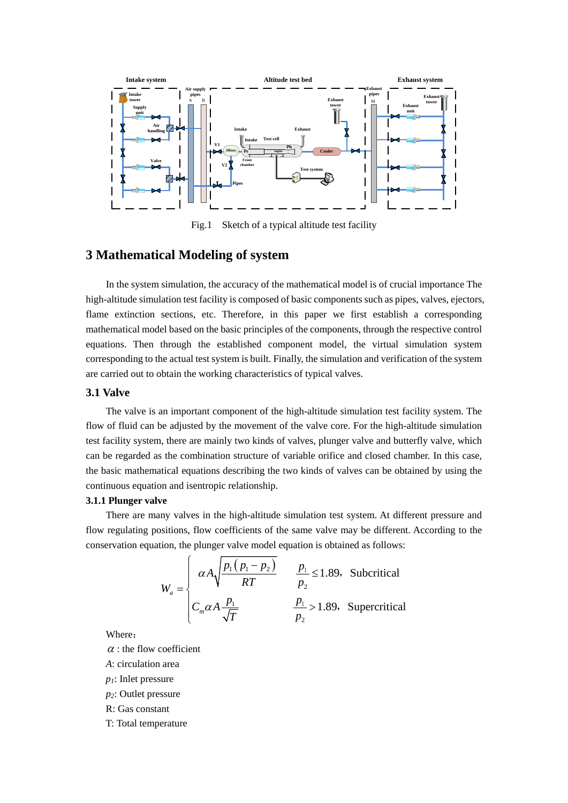

Fig.1 Sketch of a typical altitude test facility

## **3 Mathematical Modeling of system**

In the system simulation, the accuracy of the mathematical model is of crucial importance The high-altitude simulation test facility is composed of basic components such as pipes, valves, ejectors, flame extinction sections, etc. Therefore, in this paper we first establish a corresponding mathematical model based on the basic principles of the components, through the respective control equations. Then through the established component model, the virtual simulation system corresponding to the actual test system is built. Finally, the simulation and verification of the system are carried out to obtain the working characteristics of typical valves.

### **3.1 Valve**

The valve is an important component of the high-altitude simulation test facility system. The flow of fluid can be adjusted by the movement of the valve core. For the high-altitude simulation test facility system, there are mainly two kinds of valves, plunger valve and butterfly valve, which can be regarded as the combination structure of variable orifice and closed chamber. In this case, the basic mathematical equations describing the two kinds of valves can be obtained by using the continuous equation and isentropic relationship.

#### **3.1.1 Plunger valve**

There are many valves in the high-altitude simulation test system. At different pressure and flow regulating positions, flow coefficients of the same valve may be different. According to the conservation equation, the plunger valve model equation is obtained as follows:

$$
W_a = \begin{cases} \alpha A \sqrt{\frac{p_1 (p_1 - p_2)}{RT}} & \frac{p_1}{p_2} \le 1.89, \text{ Subcritical} \\ C_m \alpha A \frac{p_1}{\sqrt{T}} & \frac{p_1}{p_2} > 1.89, \text{ Supercritical} \end{cases}
$$

Where:

 $\alpha$  : the flow coefficient

*A*: circulation area

*p1*: Inlet pressure

*p2*: Outlet pressure

R: Gas constant

T: Total temperature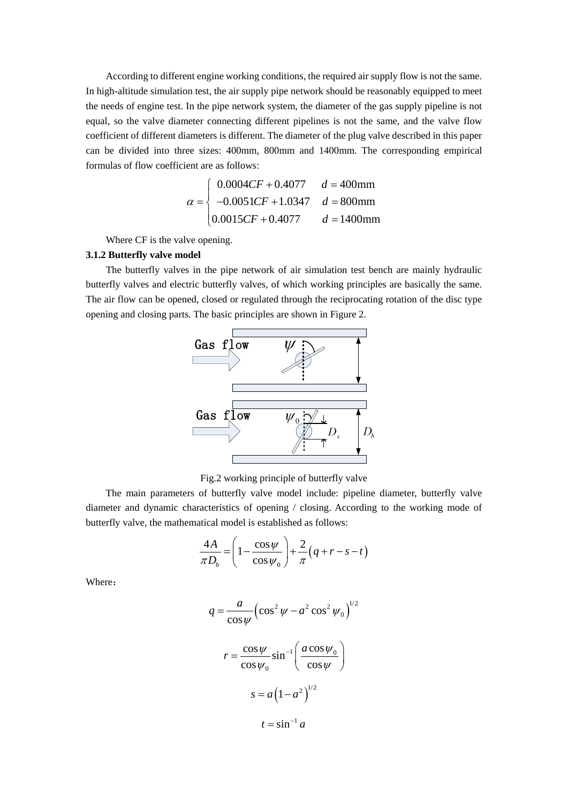According to different engine working conditions, the required air supply flow is not the same. In high-altitude simulation test, the air supply pipe network should be reasonably equipped to meet the needs of engine test. In the pipe network system, the diameter of the gas supply pipeline is not equal, so the valve diameter connecting different pipelines is not the same, and the valve flow coefficient of different diameters is different. The diameter of the plug valve described in this paper can be divided into three sizes: 400mm, 800mm and 1400mm. The corresponding empirical formulas of flow coefficient are as follows:

$$
\alpha = \begin{cases} 0.0004CF + 0.4077 & d = 400 \text{mm} \\ -0.0051CF + 1.0347 & d = 800 \text{mm} \\ 0.0015CF + 0.4077 & d = 1400 \text{mm} \end{cases}
$$

Where CF is the valve opening.

### **3.1.2 Butterfly valve model**

The butterfly valves in the pipe network of air simulation test bench are mainly hydraulic butterfly valves and electric butterfly valves, of which working principles are basically the same. The air flow can be opened, closed or regulated through the reciprocating rotation of the disc type opening and closing parts. The basic principles are shown in Figure 2.



Fig.2 working principle of butterfly valve

The main parameters of butterfly valve model include: pipeline diameter, butterfly valve diameter and dynamic characteristics of opening / closing. According to the working mode of butterfly valve, the mathematical model is established as follows:

$$
\frac{4A}{\pi D_b} = \left(1 - \frac{\cos \psi}{\cos \psi_0}\right) + \frac{2}{\pi} \left(q + r - s - t\right)
$$

Where:

$$
q = \frac{a}{\cos \psi} \left(\cos^2 \psi - a^2 \cos^2 \psi_0\right)^{1/2}
$$

$$
r = \frac{\cos \psi}{\cos \psi_0} \sin^{-1} \left(\frac{a \cos \psi_0}{\cos \psi}\right)
$$

$$
s = a \left(1 - a^2\right)^{1/2}
$$

$$
t = \sin^{-1} a
$$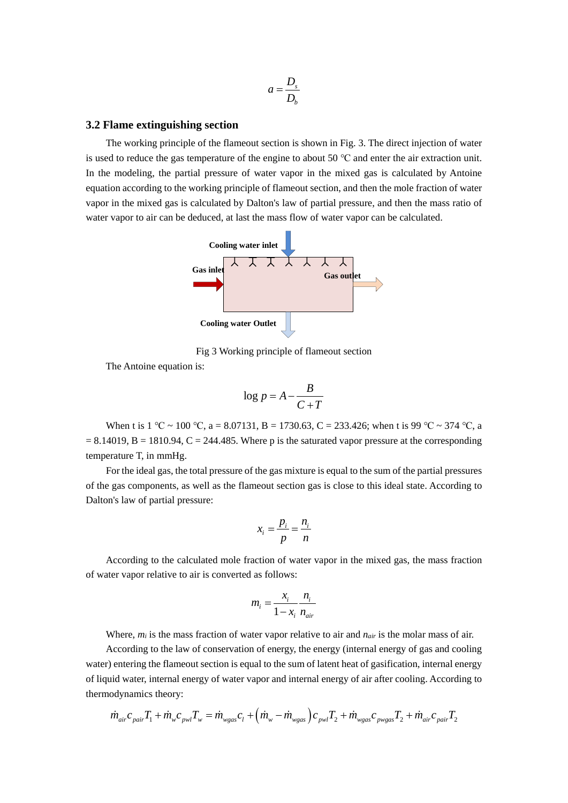$$
a = \frac{D_s}{D_b}
$$

#### **3.2 Flame extinguishing section**

The working principle of the flameout section is shown in Fig. 3. The direct injection of water is used to reduce the gas temperature of the engine to about 50 ℃ and enter the air extraction unit. In the modeling, the partial pressure of water vapor in the mixed gas is calculated by Antoine equation according to the working principle of flameout section, and then the mole fraction of water vapor in the mixed gas is calculated by Dalton's law of partial pressure, and then the mass ratio of water vapor to air can be deduced, at last the mass flow of water vapor can be calculated.



Fig 3 Working principle of flameout section

The Antoine equation is:

$$
\log p = A - \frac{B}{C + T}
$$

When t is 1 °C ~ 100 °C, a = 8.07131, B = 1730.63, C = 233.426; when t is 99 °C ~ 374 °C, a  $= 8.14019$ , B  $= 1810.94$ , C  $= 244.485$ . Where p is the saturated vapor pressure at the corresponding temperature T, in mmHg.

For the ideal gas, the total pressure of the gas mixture is equal to the sum of the partial pressures of the gas components, as well as the flameout section gas is close to this ideal state. According to Dalton's law of partial pressure:

$$
x_i = \frac{p_i}{p} = \frac{n_i}{n}
$$

According to the calculated mole fraction of water vapor in the mixed gas, the mass fraction of water vapor relative to air is converted as follows:

$$
m_i = \frac{x_i}{1 - x_i} \frac{n_i}{n_{air}}
$$

Where,  $m_i$  is the mass fraction of water vapor relative to air and  $n_{air}$  is the molar mass of air.

According to the law of conservation of energy, the energy (internal energy of gas and cooling water) entering the flameout section is equal to the sum of latent heat of gasification, internal energy of liquid water, internal energy of water vapor and internal energy of air after cooling. According to thermodynamics theory:

$$
\dot{m}_{air}c_{pair}T_1 + \dot{m}_wc_{pwl}T_w = \dot{m}_{wgas}c_l + \left(\dot{m}_w - \dot{m}_{wgas}\right)c_{pwl}T_2 + \dot{m}_{wgas}c_{pvgas}T_2 + \dot{m}_{air}c_{pair}T_2
$$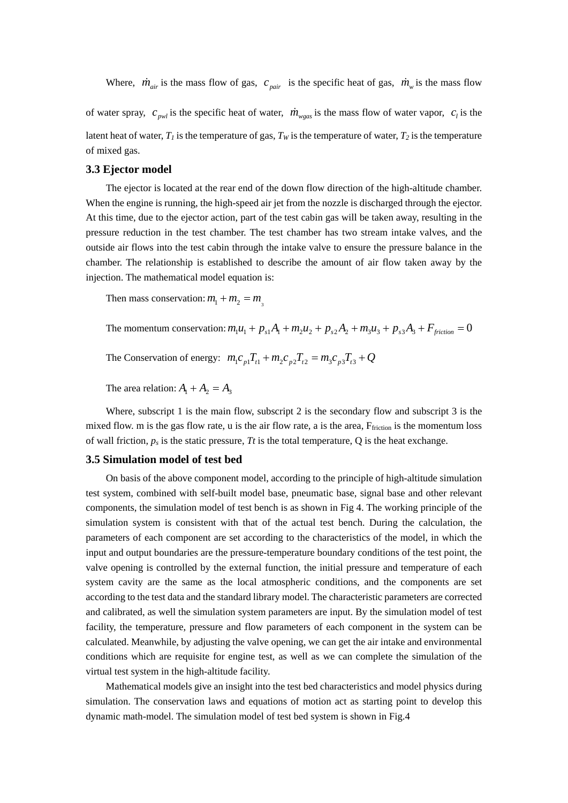Where,  $\dot{m}_{air}$  is the mass flow of gas,  $c_{pair}$  is the specific heat of gas,  $\dot{m}_{w}$  is the mass flow

of water spray,  $c_{\text{gw}}$  is the specific heat of water,  $\dot{m}_{\text{wgas}}$  is the mass flow of water vapor,  $c_i$  is the latent heat of water,  $T_1$  is the temperature of gas,  $T_W$  is the temperature of water,  $T_2$  is the temperature of mixed gas.

#### **3.3 Ejector model**

The ejector is located at the rear end of the down flow direction of the high-altitude chamber. When the engine is running, the high-speed air jet from the nozzle is discharged through the ejector. At this time, due to the ejector action, part of the test cabin gas will be taken away, resulting in the pressure reduction in the test chamber. The test chamber has two stream intake valves, and the outside air flows into the test cabin through the intake valve to ensure the pressure balance in the chamber. The relationship is established to describe the amount of air flow taken away by the injection. The mathematical model equation is:

Then mass conservation:  $m_1 + m_2 = m$ 

The momentum conservation:  $m_1 u_1 + p_{s1} A_1 + m_2 u_2 + p_{s2} A_2 + m_3 u_3 + p_{s3} A_3 + F_{friction} = 0$ 

The Conservation of energy:  $m_1 c_{p1} T_{t1} + m_2 c_{p2} T_{t2} = m_3 c_{p3} T_{t3} + Q$ 

The area relation:  $A_1 + A_2 = A_3$ 

Where, subscript 1 is the main flow, subscript 2 is the secondary flow and subscript 3 is the mixed flow. m is the gas flow rate, u is the air flow rate, a is the area, F<sub>friction</sub> is the momentum loss of wall friction,  $p_s$  is the static pressure, *Tt* is the total temperature, Q is the heat exchange.

#### **3.5 Simulation model of test bed**

On basis of the above component model, according to the principle of high-altitude simulation test system, combined with self-built model base, pneumatic base, signal base and other relevant components, the simulation model of test bench is as shown in Fig 4. The working principle of the simulation system is consistent with that of the actual test bench. During the calculation, the parameters of each component are set according to the characteristics of the model, in which the input and output boundaries are the pressure-temperature boundary conditions of the test point, the valve opening is controlled by the external function, the initial pressure and temperature of each system cavity are the same as the local atmospheric conditions, and the components are set according to the test data and the standard library model. The characteristic parameters are corrected and calibrated, as well the simulation system parameters are input. By the simulation model of test facility, the temperature, pressure and flow parameters of each component in the system can be calculated. Meanwhile, by adjusting the valve opening, we can get the air intake and environmental conditions which are requisite for engine test, as well as we can complete the simulation of the virtual test system in the high-altitude facility.

Mathematical models give an insight into the test bed characteristics and model physics during simulation. The conservation laws and equations of motion act as starting point to develop this dynamic math-model. The simulation model of test bed system is shown in Fig.4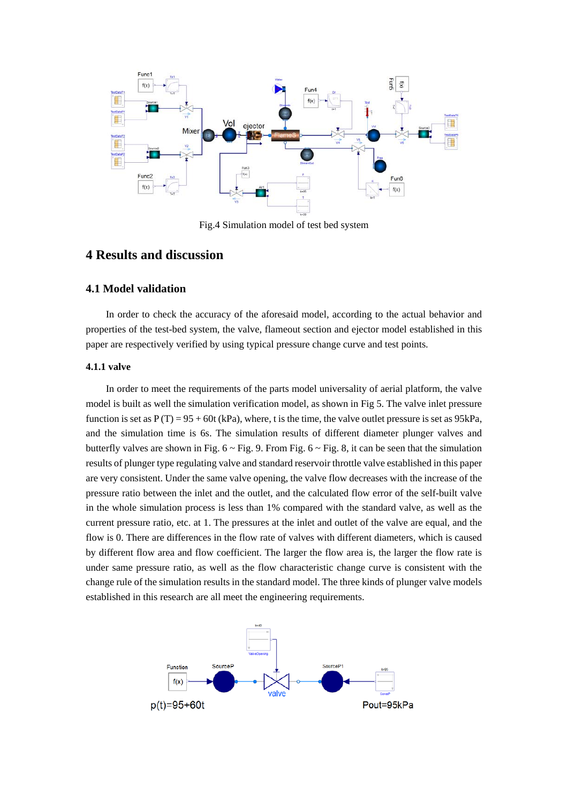

Fig.4 Simulation model of test bed system

## **4 Results and discussion**

### **4.1 Model validation**

In order to check the accuracy of the aforesaid model, according to the actual behavior and properties of the test-bed system, the valve, flameout section and ejector model established in this paper are respectively verified by using typical pressure change curve and test points.

### **4.1.1 valve**

In order to meet the requirements of the parts model universality of aerial platform, the valve model is built as well the simulation verification model, as shown in Fig 5. The valve inlet pressure function is set as  $P(T) = 95 + 60t$  (kPa), where, t is the time, the valve outlet pressure is set as 95kPa, and the simulation time is 6s. The simulation results of different diameter plunger valves and butterfly valves are shown in Fig.  $6 \sim$  Fig. 9. From Fig.  $6 \sim$  Fig. 8, it can be seen that the simulation results of plunger type regulating valve and standard reservoir throttle valve established in this paper are very consistent. Under the same valve opening, the valve flow decreases with the increase of the pressure ratio between the inlet and the outlet, and the calculated flow error of the self-built valve in the whole simulation process is less than 1% compared with the standard valve, as well as the current pressure ratio, etc. at 1. The pressures at the inlet and outlet of the valve are equal, and the flow is 0. There are differences in the flow rate of valves with different diameters, which is caused by different flow area and flow coefficient. The larger the flow area is, the larger the flow rate is under same pressure ratio, as well as the flow characteristic change curve is consistent with the change rule of the simulation results in the standard model. The three kinds of plunger valve models established in this research are all meet the engineering requirements.

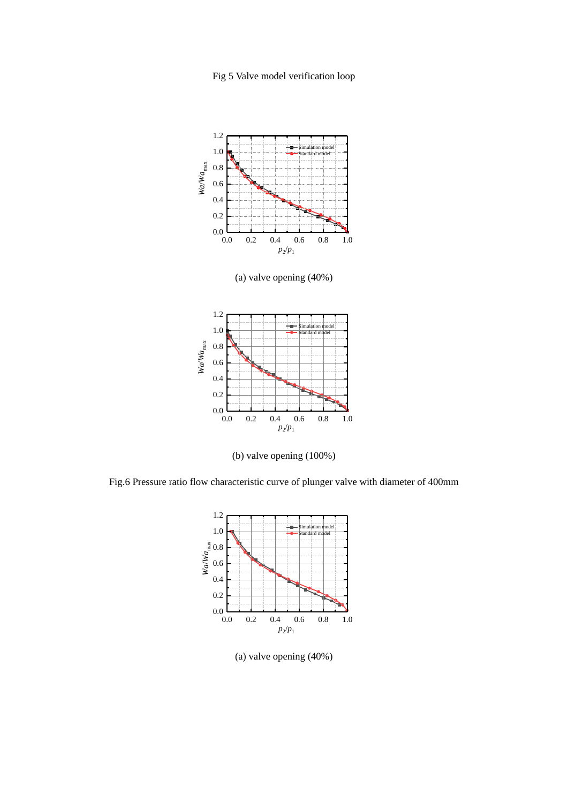Fig 5 Valve model verification loop



(a) valve opening (40%)



(b) valve opening (100%)

Fig.6 Pressure ratio flow characteristic curve of plunger valve with diameter of 400mm



(a) valve opening (40%)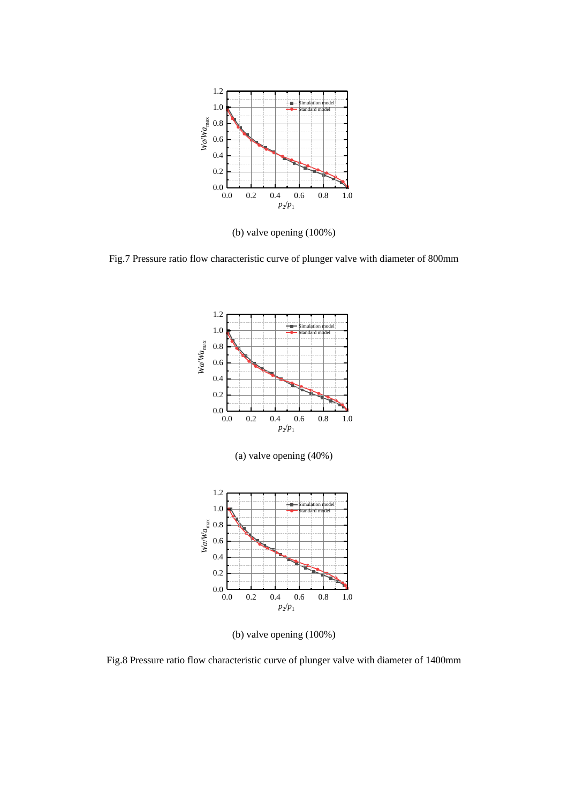

(b) valve opening (100%)

Fig.7 Pressure ratio flow characteristic curve of plunger valve with diameter of 800mm



(b) valve opening (100%)

Fig.8 Pressure ratio flow characteristic curve of plunger valve with diameter of 1400mm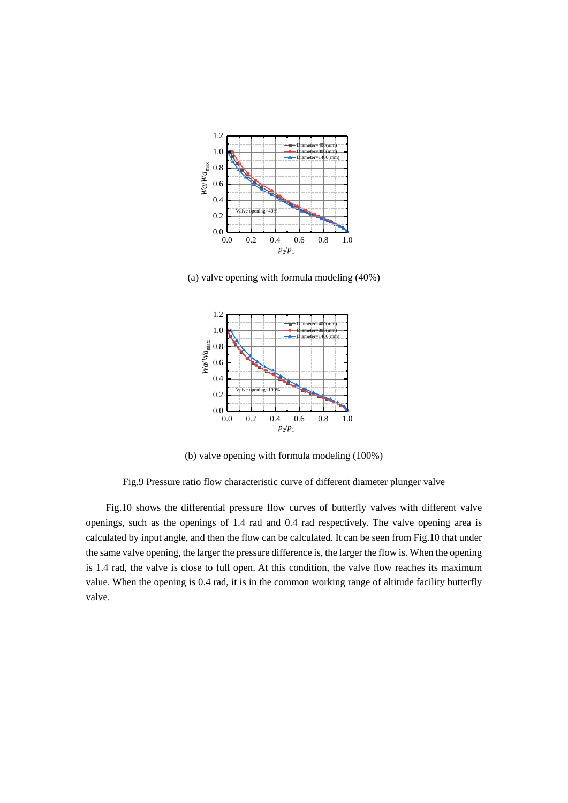

(a) valve opening with formula modeling (40%)



(b) valve opening with formula modeling (100%)

Fig.9 Pressure ratio flow characteristic curve of different diameter plunger valve

Fig.10 shows the differential pressure flow curves of butterfly valves with different valve openings, such as the openings of 1.4 rad and 0.4 rad respectively. The valve opening area is calculated by input angle, and then the flow can be calculated. It can be seen from Fig.10 that under the same valve opening, the larger the pressure difference is, the larger the flow is. When the opening is 1.4 rad, the valve is close to full open. At this condition, the valve flow reaches its maximum value. When the opening is 0.4 rad, it is in the common working range of altitude facility butterfly valve.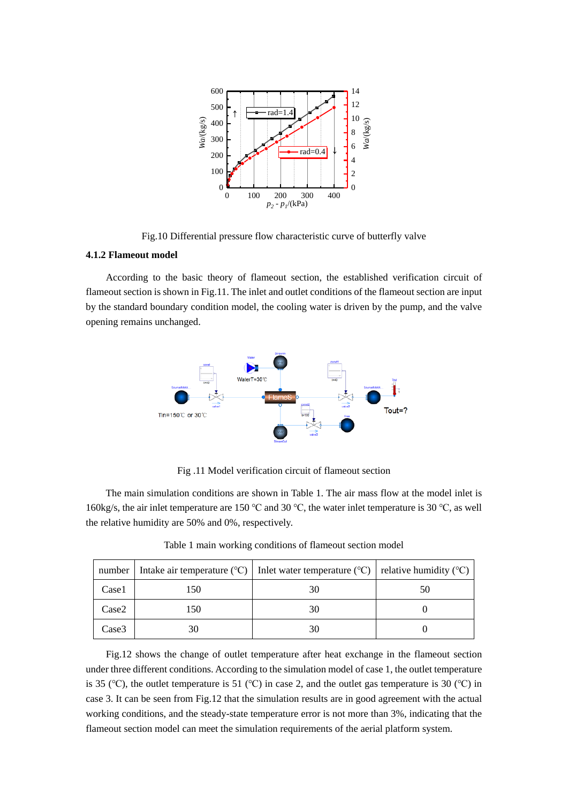

Fig.10 Differential pressure flow characteristic curve of butterfly valve

#### **4.1.2 Flameout model**

According to the basic theory of flameout section, the established verification circuit of flameout section is shown in Fig.11. The inlet and outlet conditions of the flameout section are input by the standard boundary condition model, the cooling water is driven by the pump, and the valve opening remains unchanged.



Fig .11 Model verification circuit of flameout section

The main simulation conditions are shown in Table 1. The air mass flow at the model inlet is 160kg/s, the air inlet temperature are 150 ℃ and 30 ℃, the water inlet temperature is 30 ℃, as well the relative humidity are 50% and 0%, respectively.

| number |     | Intake air temperature ( $\degree$ C)   Inlet water temperature ( $\degree$ C)   relative humidity ( $\degree$ C) |    |
|--------|-----|-------------------------------------------------------------------------------------------------------------------|----|
| Case1  | 150 | 30                                                                                                                | 50 |
| Case2  | 150 | 30                                                                                                                |    |
| Case3  | 30  | 30                                                                                                                |    |

Table 1 main working conditions of flameout section model

Fig.12 shows the change of outlet temperature after heat exchange in the flameout section under three different conditions. According to the simulation model of case 1, the outlet temperature is 35 (℃), the outlet temperature is 51 (℃) in case 2, and the outlet gas temperature is 30 (℃) in case 3. It can be seen from Fig.12 that the simulation results are in good agreement with the actual working conditions, and the steady-state temperature error is not more than 3%, indicating that the flameout section model can meet the simulation requirements of the aerial platform system.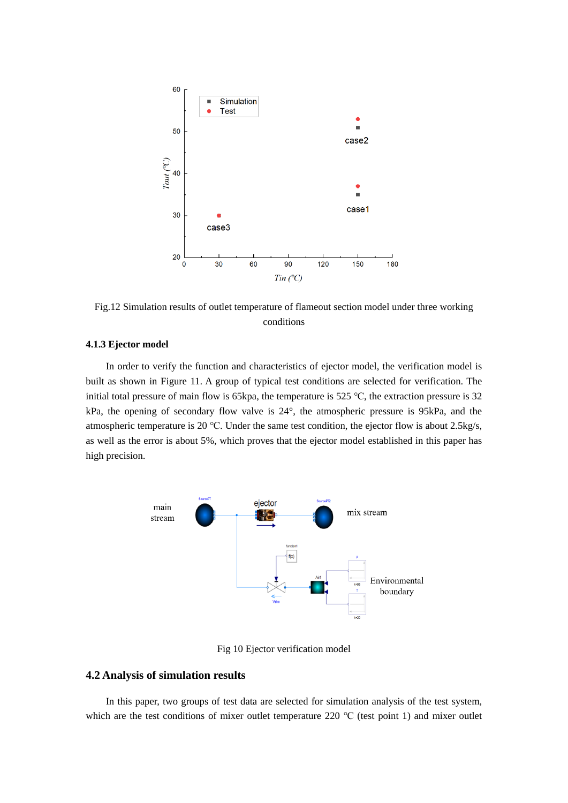

Fig.12 Simulation results of outlet temperature of flameout section model under three working conditions

#### **4.1.3 Ejector model**

In order to verify the function and characteristics of ejector model, the verification model is built as shown in Figure 11. A group of typical test conditions are selected for verification. The initial total pressure of main flow is 65kpa, the temperature is 525 ℃, the extraction pressure is 32 kPa, the opening of secondary flow valve is 24°, the atmospheric pressure is 95kPa, and the atmospheric temperature is 20 ℃. Under the same test condition, the ejector flow is about 2.5kg/s, as well as the error is about 5%, which proves that the ejector model established in this paper has high precision.



Fig 10 Ejector verification model

### **4.2 Analysis of simulation results**

In this paper, two groups of test data are selected for simulation analysis of the test system, which are the test conditions of mixer outlet temperature 220 ℃ (test point 1) and mixer outlet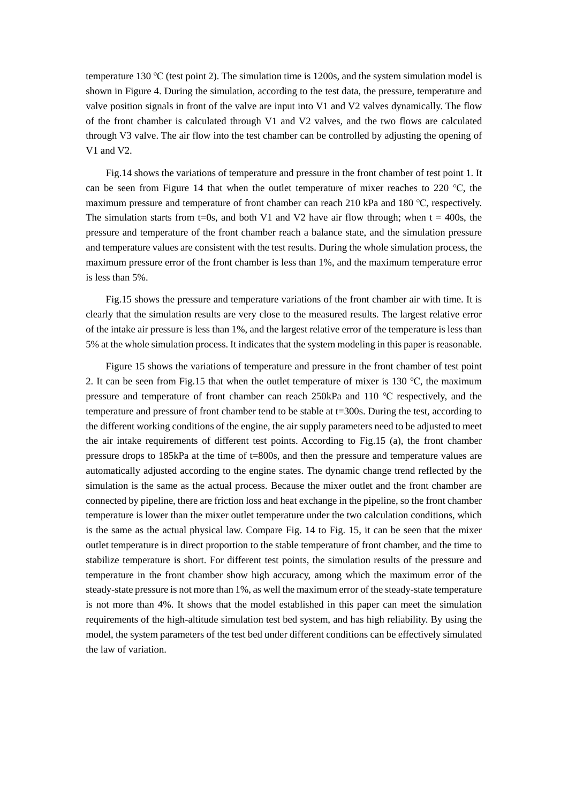temperature 130 ℃ (test point 2). The simulation time is 1200s, and the system simulation model is shown in Figure 4. During the simulation, according to the test data, the pressure, temperature and valve position signals in front of the valve are input into V1 and V2 valves dynamically. The flow of the front chamber is calculated through V1 and V2 valves, and the two flows are calculated through V3 valve. The air flow into the test chamber can be controlled by adjusting the opening of V1 and V2.

Fig.14 shows the variations of temperature and pressure in the front chamber of test point 1. It can be seen from Figure 14 that when the outlet temperature of mixer reaches to 220 ℃, the maximum pressure and temperature of front chamber can reach 210 kPa and 180 ℃, respectively. The simulation starts from t=0s, and both V1 and V2 have air flow through; when  $t = 400s$ , the pressure and temperature of the front chamber reach a balance state, and the simulation pressure and temperature values are consistent with the test results. During the whole simulation process, the maximum pressure error of the front chamber is less than 1%, and the maximum temperature error is less than 5%.

Fig.15 shows the pressure and temperature variations of the front chamber air with time. It is clearly that the simulation results are very close to the measured results. The largest relative error of the intake air pressure is less than 1%, and the largest relative error of the temperature is less than 5% at the whole simulation process. It indicates that the system modeling in this paper is reasonable.

Figure 15 shows the variations of temperature and pressure in the front chamber of test point 2. It can be seen from Fig.15 that when the outlet temperature of mixer is 130 ℃, the maximum pressure and temperature of front chamber can reach 250kPa and 110 ℃ respectively, and the temperature and pressure of front chamber tend to be stable at t=300s. During the test, according to the different working conditions of the engine, the air supply parameters need to be adjusted to meet the air intake requirements of different test points. According to Fig.15 (a), the front chamber pressure drops to 185kPa at the time of t=800s, and then the pressure and temperature values are automatically adjusted according to the engine states. The dynamic change trend reflected by the simulation is the same as the actual process. Because the mixer outlet and the front chamber are connected by pipeline, there are friction loss and heat exchange in the pipeline, so the front chamber temperature is lower than the mixer outlet temperature under the two calculation conditions, which is the same as the actual physical law. Compare Fig. 14 to Fig. 15, it can be seen that the mixer outlet temperature i[s in](javascript:;) [direct](javascript:;) [proportion](javascript:;) [to](javascript:;) the stable temperature of front chamber, and the time to stabilize temperature is short. For different test points, the simulation results of the pressure and temperature in the front chamber show high accuracy, among which the maximum error of the steady-state pressure is not more than 1%, as well the maximum error of the steady-state temperature is not more than 4%. It shows that the model established in this paper can meet the simulation requirements of the high-altitude simulation test bed system, and has high reliability. By using the model, the system parameters of the test bed under different conditions can be effectively simulated the law of variation.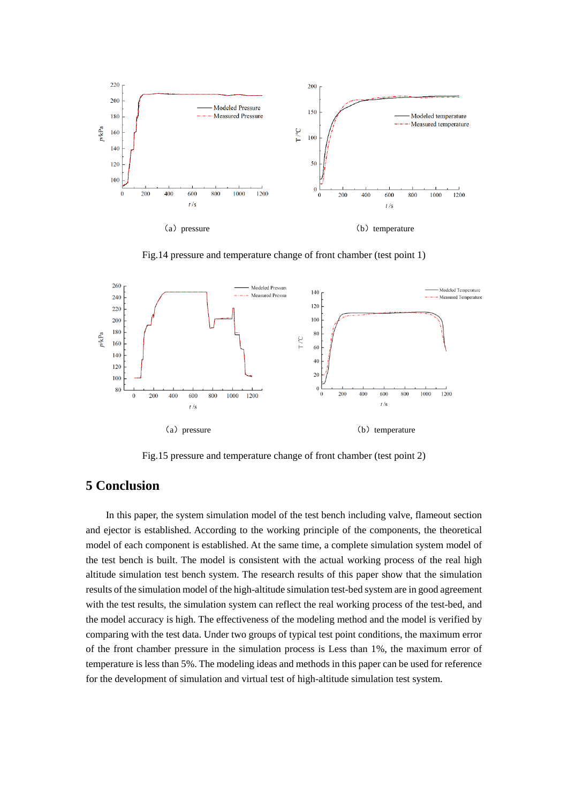

Fig.14 pressure and temperature change of front chamber (test point 1)



Fig.15 pressure and temperature change of front chamber (test point 2)

# **5 Conclusion**

In this paper, the system simulation model of the test bench including valve, flameout section and ejector is established. According to the working principle of the components, the theoretical model of each component is established. At the same time, a complete simulation system model of the test bench is built. The model is consistent with the actual working process of the real high altitude simulation test bench system. The research results of this paper show that the simulation results of the simulation model of the high-altitude simulation test-bed system are in good agreement with the test results, the simulation system can reflect the real working process of the test-bed, and the model accuracy is high. The effectiveness of the modeling method and the model is verified by comparing with the test data. Under two groups of typical test point conditions, the maximum error of the front chamber pressure in the simulation process is Less than 1%, the maximum error of temperature is less than 5%. The modeling ideas and methods in this paper can be used for reference for the development of simulation and virtual test of high-altitude simulation test system.